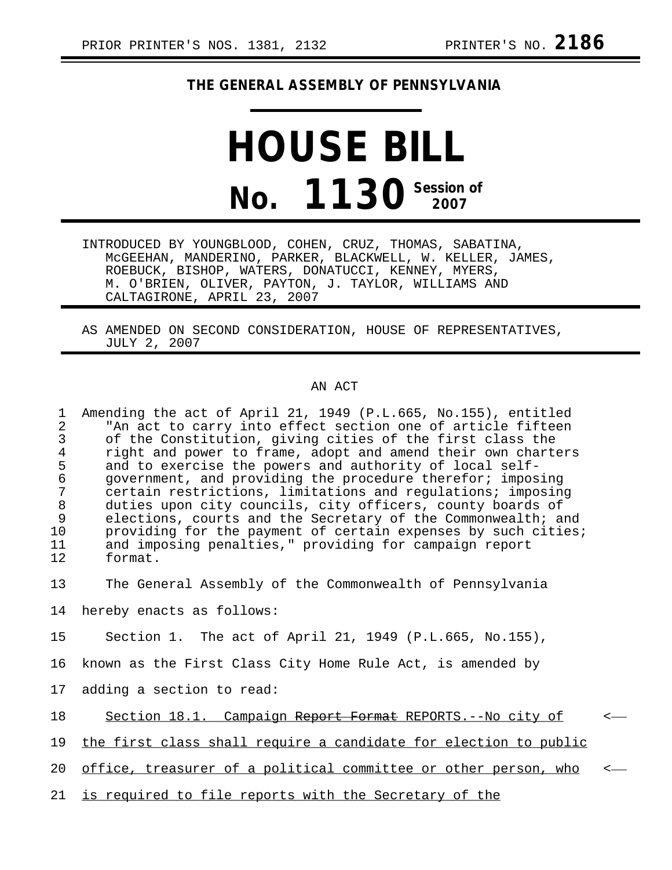## **THE GENERAL ASSEMBLY OF PENNSYLVANIA**

## **HOUSE BILL No. 1130** Session of

INTRODUCED BY YOUNGBLOOD, COHEN, CRUZ, THOMAS, SABATINA, McGEEHAN, MANDERINO, PARKER, BLACKWELL, W. KELLER, JAMES, ROEBUCK, BISHOP, WATERS, DONATUCCI, KENNEY, MYERS, M. O'BRIEN, OLIVER, PAYTON, J. TAYLOR, WILLIAMS AND CALTAGIRONE, APRIL 23, 2007

AS AMENDED ON SECOND CONSIDERATION, HOUSE OF REPRESENTATIVES, JULY 2, 2007

## AN ACT

1 Amending the act of April 21, 1949 (P.L.665, No.155), entitled 2 The act to carry into effect section one of article fifteen<br>3 Of the Constitution, giving cities of the first class the 3 of the Constitution, giving cities of the first class the<br>4 right and power to frame, adopt and amend their own charte 4 right and power to frame, adopt and amend their own charters<br>5 and to exercise the powers and authority of local self-5 and to exercise the powers and authority of local self-<br>6 qovernment, and providing the procedure therefor; impos 6 government, and providing the procedure therefor; imposing certain restrictions, limitations and regulations; imposing 8 duties upon city councils, city officers, county boards of<br>9 elections, courts and the Secretary of the Commonwealth; and 9 elections, courts and the Secretary of the Commonwealth; and<br>10 providing for the payment of certain expenses by such cities. providing for the payment of certain expenses by such cities; 11 and imposing penalties," providing for campaign report<br>12 format. format.

13 The General Assembly of the Commonwealth of Pennsylvania

14 hereby enacts as follows:

15 Section 1. The act of April 21, 1949 (P.L.665, No.155),

16 known as the First Class City Home Rule Act, is amended by

17 adding a section to read:

18 Section 18.1. Campaign Report Format REPORTS.--No city of  $\sim$ 

19 the first class shall require a candidate for election to public

20 office, treasurer of a political committee or other person, who

21 is required to file reports with the Secretary of the